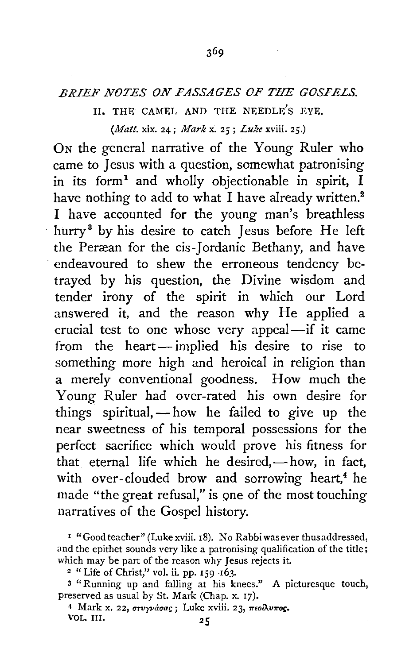## *BRIEF NOTES ON PASSAGES OF THE GOSPELS.*

## II. THE CAMEL AND THE NEEDLE'S EYE. *(Matt.* xix. 24; *Mark* x. 25; *Luke* xviii. 25.)

ON the general narrative of the Young Ruler who came to Jesus with a question, somewhat patronising in its form<sup>1</sup> and wholly objectionable in spirit, I have nothing to add to what  $\overline{I}$  have already written.<sup>2</sup> I have accounted for the young man's breathless hurry<sup>3</sup> by his desire to catch Jesus before He left the Peræan for the cis-Jordanic Bethany, and have endeavoured to shew the erroneous tendency betrayed by his question, the Divine wisdom and tender irony of the spirit in which our Lord answered it, and the reason why He applied a crucial test to one whose very appeal-if it came from the heart-implied his desire to rise to something more high and heroical in religion than a merely conventional goodness. How much the Young Ruler had over-rated his own desire for things spiritual,  $-\text{how}$  he failed to give up the near sweetness of his temporal possessions for the perfect sacrifice which would prove his fitness for that eternal life which he desired, $-$ how, in fact, with over-clouded brow and sorrowing heart,<sup>4</sup> he made "the great refusal," is one of the most touching narratives of the Gospel history.

<sup>4</sup> Mark x. 22, στυγνάσας; Luke xviii. 23, πεολυπος. VOL. III. 25

<sup>&</sup>lt;sup>1</sup> "Good teacher" (Luke xviii. 18). No Rabbi was ever thus addressed, and the epithet sounds very like a patronising qualification of the title; which may be part of the reason why Jesus rejects it.<br><sup>2</sup> "Life of Christ," vol. ii. pp. 159-163.

<sup>&</sup>lt;sup>3</sup> "Running up and falling at his knees." A picturesque touch, preserved as usual by St. Mark (Chap. x. 17).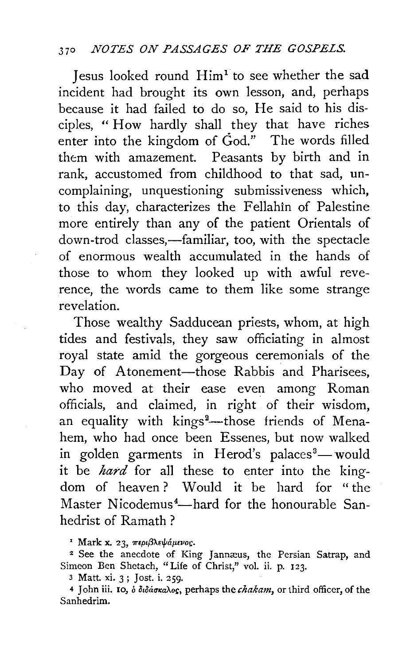Iesus looked round Him<sup>1</sup> to see whether the sad incident had brought its own lesson, and, perhaps because it had failed to do so, He said to his disciples, " How hardly shall they that have riches enter into the kingdom of God." The words filled them with amazement. Peasants by birth and in rank, accustomed from childhood to that sad, uncomplaining, unquestioning submissiveness which, to this day, characterizes the Fellahin of Palestine more entirely than any of the patient Orientals of down-trod classes,—familiar, too, with the spectacle of enormous wealth accumulated in the hands of those to whom they looked up with awful reverence, the words came to them like some strange revelation.

Those wealthy Sadducean priests, whom, at high tides and festivals, they saw officiating in almost royal state amid the gorgeous ceremonials of the Day of Atonement-those Rabbis and Pharisees, who moved at their ease even among Roman officials, and claimed, in right of their wisdom, an equality with kings<sup>2</sup>—those friends of Menahem, who had once been Essenes, but now walked in golden garments in Herod's palaces<sup>8</sup>— would it be *hard* for all these to enter into the kingdom of heaven? Would it be hard for "the Master Nicodemus<sup>4</sup>—hard for the honourable Sanhedrist of Ramath ?

<sup>1</sup> Mark x. 23, περιβλεψάμενος.

<sup>2</sup> See the anecdote of King Jannæus, the Persian Satrap, and Simeon Ben Shetach, "Life of Christ," vol. ii. p. 123.

3 Matl xi. 3; Jost. i. 259·

4 John iii. 10, o  $\delta \delta \delta \delta \sigma \kappa a \lambda o \epsilon$ , perhaps the *chakam*, or third officer, of the Sanhedrim.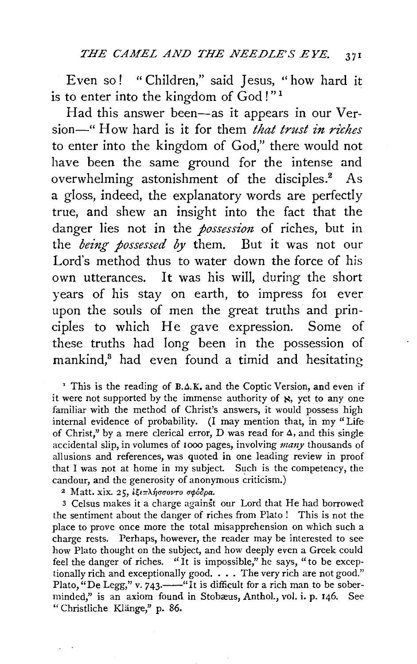Even so! "Children," said Jesus, "how hard it is to enter into the kingdom of  $\text{God}$  !"<sup>1</sup>

Had this answer been-as it appears in our Version-" How hard is it for them *that trust in riches* to enter into the kingdom of God," there would not have been the same ground for the intense and overwhelming astonishment of the disciples.<sup>2</sup> As a gloss, indeed, the explanatory words are perfectly true, and shew an insight into the fact that the danger lies not in the *possession* of riches, but in the *being possessed by* them. But it was not our Lord's method thus to water down the force of his own utterances. It was his will, during the short years of his stay on earth, to impress fot ever upon the souls of men the great truths and principles to which He gave expression. Some of these truths had long been in the possession of mankind,8 had even found a timid and hesitating

<sup>1</sup> This is the reading of  $B.A.K.$  and the Coptic Version, and even if it were not supported by the immense authority of  $\aleph$ , yet to any one familiar with the method of Christ's answers, it would possess high internal evidence of probability. (I may mention that, in my "Life of Christ," by a mere clerical error, D was read for *a,* and this single accidental slip, in volumes of rooo pages, involving *many* thousands of allusions and references, was quoted in one leading review in proof that I was not at home in my subject. Such is the competency, the candour, and the generosity of anonymous criticism.)

<sup>2</sup> Matt. xix. 25, εξεπλήσσοντο σφόδρα.

3 Celsus makes it a charge against our Lord that He had borrowed the sentiment about the danger of riches from Plato ! This is not the place to prove once more the total misapprehension on which such a charge rests. Perhaps, however, the reader may be interested to see how Plato thought on the subject, and how deeply even a Greek could feel the danger of riches. "It is impossible," he says, "to be exceptionally rich and exceptionally good. . . . The very rich are not good." Plato, "De Legg," v. 743.——"It is difficult for a rich man to be soberminded," is an axiom found in Stobæus, Anthol., vol. i. p. 146. See " Christliche Klange," p. 86.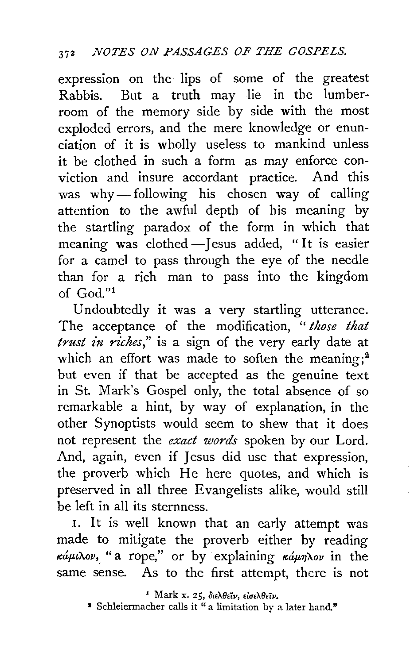expression on the lips of some of the greatest Rabbis. But a truth may lie in the lumberroom of the memory side by side with the most exploded errors, and the mere knowledge or enunciation of it is wholly useless to mankind unless it be clothed in such a form as may enforce conviction and insure accordant practice. And this was why-following his chosen way of calling attention to the awful depth of his meaning by the startling paradox of the form in which that meaning was clothed -Jesus added, "It is easier for a camel to pass through the eye of the needle than for a rich man to pass into the kingdom of  $God$ ."

Undoubtedly it was a very startling utterance. The acceptance of the modification, " *those that trust in riches*," is a sign of the very early date at which an effort was made to soften the meaning; $2$ but even if that be accepted as the genuine text in St. Mark's Gospel only, the total absence of so remarkable a hint, by way of explanation, in the other Synoptists would seem to shew that it does not represent the *exact words* spoken by our Lord. And, again, even if Jesus did use that expression, the proverb which He here quotes, and which is preserved in all three Evangelists alike, would still be left in all its sternness.

I. It is well known that an early attempt was made to mitigate the proverb either by reading  $\kappa \dot{\alpha} \mu \nu \lambda \omega$ , "a rope," or by explaining  $\kappa \dot{\alpha} \mu \eta \lambda \omega$  in the same sense. As to the first attempt, there is not

<sup>&</sup>lt;sup>2</sup> Mark x. 25, διελθεΐν, εἰσελθεΐν.<br><sup>2</sup> Schleiermacher calls it "a limitation by a later hand."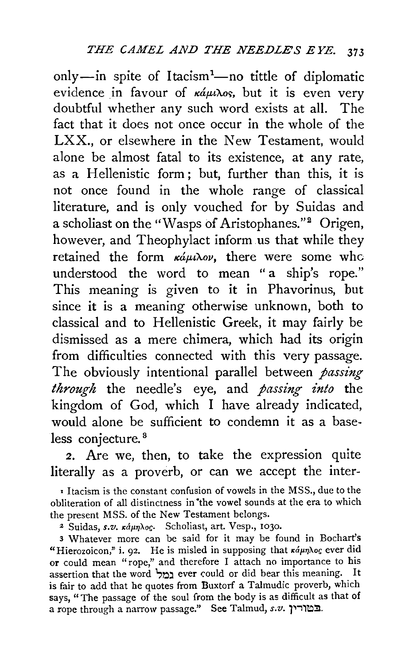only-in spite of Itacism<sup>1</sup>-no tittle of diplomatic evidence in favour of  $\kappa \hat{a} \mu \lambda$ os, but it is even very doubtful whether any such word exists at all. The fact that it does not once occur in the whole of the LXX., or elsewhere in the New Testament, would alone be almost fatal to its existence, at any rate, as a Hellenistic form; but, further than this, it is not once found in the whole range of classical literature, and is only vouched for by Suidas and a scholiast on the "Wasps of Aristophanes."<sup>2</sup> Origen, however, and Theophylact inform us that while they retained the form  $\kappa \hat{\omega} \mu \lambda \omega$ , there were some who understood the word to mean "a ship's rope." This meaning is given to it in Phavorinus, but since it is a meaning otherwise unknown, both to classical and to Hellenistic Greek, it may fairly be dismissed as a mere chimera, which had its origin from difficulties connected with this very passage. The obviously intentional parallel between *passing through* the needle's eye, and *passing into* the kingdom of God, which I have already indicated, would alone be sufficient to condemn it as a baseless conjecture.<sup>8</sup>

2. Are we, then, to take the expression quite literally as a proverb, or can we accept the inter-

' Itacism is the constant confusion of vowels in the MSS., due to the obliteration of all distinctness in •the vowel sounds at the era to which the present MSS. of the New Testament belongs.

<sup>2</sup> Suidas, s.v.  $\kappa$ áµn<sub>los</sub>. Scholiast, art. Vesp., 1030.

3 Whatever more can be said for it may be found in Bochart's "Hierozoicon," i. 92. He is misled in supposing that  $\kappa \hat{a} \mu \eta \lambda o \varsigma$  ever did or could mean "rope," and therefore I attach no importance to his assertion that the word במל ever could or did bear this meaning. It is fair to add that he quotes from Buxtorf a Talmudic proverb, which says, "The passage of the soul from the body is as difficult as that of a rope through a narrow passage." See Talmud, *s.v.* 7''1~!1.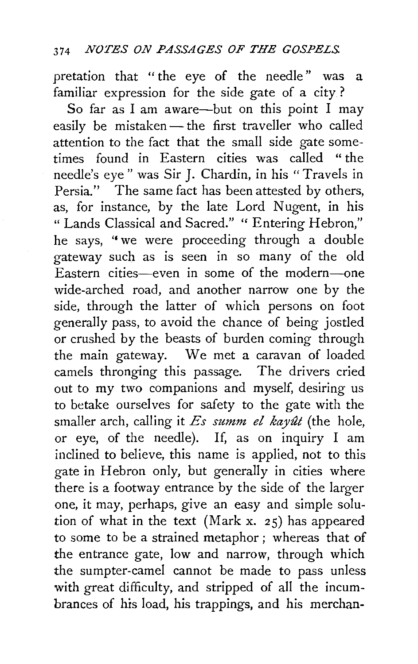pretation that " the eye of the needle" was a familiar expression for the side gate of a city?

So far as I am aware-but on this point I may easily be mistaken- the first traveller who called attention to the fact that the small side gate sometimes found in Eastern cities was called " the needle's eye" was Sir J. Chardin, in his "Travels in Persia." The same fact has been attested by others, as, for instance, by the late Lord Nugent, in his " Lands Classical and Sacred." " Entering Hebron," he says, "we were proceeding through a double gateway such as is seen in so many of the old Eastern cities-even in some of the modern-one wide-arched road, and another narrow one by the side, through the latter of which persons on foot generally pass, to avoid the chance of being jostled or crushed by the beasts of burden coming through the main gateway. We met a caravan of loaded camels thronging this passage. The drivers cried out to my two companions and myself, desiring us to betake ourselves for safety to the gate with the smaller arch, calling it *Es summ el kayût* (the hole, or eye, of the needle). If, as on inquiry I am inclined to believe, this name is applied, not to this gate in Hebron only, but generally in cities where there is a footway entrance by the side of the larger one, it may, perhaps, give an easy and simple solution of what in the text (Mark x. 25) has appeared to some to be a strained metaphor; whereas that of the entrance gate, low and narrow, through which the sumpter-camel cannot be made to pass unless with great difficulty, and stripped of all the incumbrances of his load, his trappings, and his merchan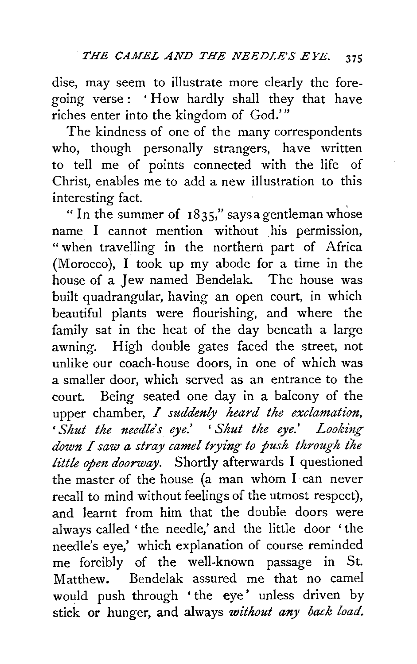dise, may seem to illustrate more clearly the foregoing verse: 'How hardly shall they that have riches enter into the kingdom of God.'"

The kindness of one of the many correspondents who, though personally strangers, have written to tell me of points connected with the life of Christ, enables me to add a new illustration to this interesting fact.

"In the summer of 1835," says a gentleman whose name I cannot mention without his permission, "when travelling in the northern part of Africa (Morocco), I took up my abode for a time in the house of a Jew named Bendelak. The house was built quadrangular, having an open court, in which beautiful plants were flourishing, and where the family sat in the heat of the day beneath a large awning. High double gates faced the street, not unlike our coach-house doors, in one of which was a smaller door, which served as an entrance to the court. Being seated one day in a balcony of the upper chamber, *I suddenly heard the exclamation,*  ' *Shut the needle's eye.'* ' *Shut the eye.' Looking down I saw a stray camel trying to push through ihe little open doorway.* Shortly afterwards I questioned the master of the house (a man whom I can never recall to mind without feelings of the utmost respect), and learnt from him that the double doors were always called 'the needle,' and the little door 'the needle's eye,' which explanation of course reminded me forcibly of the well-known passage in St. Matthew. Bendelak assured me that no camel would push through 'the eye' unless driven by stick or hunger, and always *without any back load.*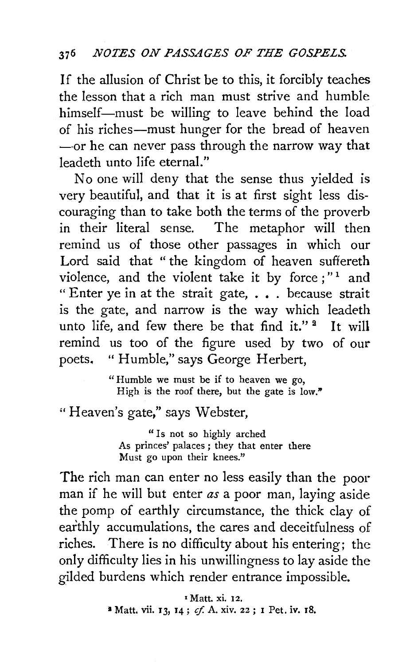If the allusion of Christ be to this, it forcibly teaches the lesson that a rich man must strive and humble himself-must be willing to leave behind the load of his riches-must hunger for the bread of heaven -- or he can never pass through the narrow way that leadeth unto life eternal."

No one will deny that the sense thus yielded is very beautiful, and that it is at first sight less discouraging than to take both the terms of the proverb in their literal sense. The metaphor will then remind us of those other passages in which our Lord said that " the kingdom of heaven suffereth violence, and the violent take it by force;"<sup>1</sup> and "Enter ye in at the strait gate, ••. because strait is the gate, and narrow is the way which leadeth unto life, and few there be that find it."<sup>2</sup> It will remind us too of the figure used by two of our poets. "Humble," says George Herbert,

> "Humble we must be if to heaven we go, High is the roof there, but the gate is low."

"Heaven's gate," says Webster,

"Is not so highly arched As princes' palaces; they that enter there Must go upon their knees."

The rich man can enter no less easily than the poor man if he will but enter *as* a poor man, laying aside the pomp of earthly circumstance, the thick clay of earthly accumulations, the cares and deceitfulness of riches. There is no difficulty about his entering; the only difficulty lies in his unwillingness to lay aside the gilded burdens which render entrance impossible.

> • Matt. xi. 12. <sup>2</sup> Matt. vii. 13, 14; *cf.* A. xiv. 22; 1 Pet. iv. 18.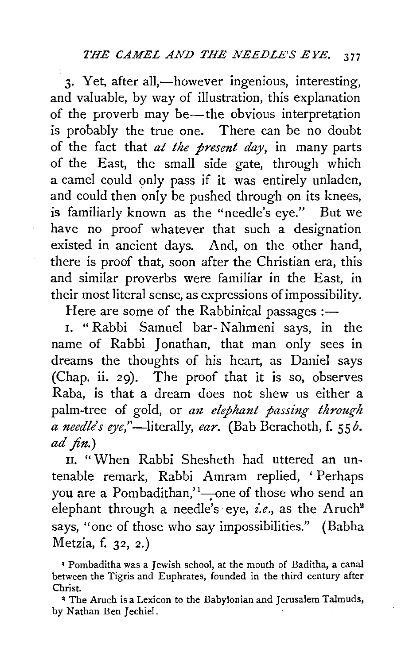3. Yet, after all,—however ingenious, interesting, and valuable, by way of illustration, this explanation of the proverb may be-the obvious interpretation is probably the true one. There can be no doubt of the fact that *at the present day,* in many parts of the East, the small side gate, through which a camel could only pass if it was entirely unladen, and could then only be pushed through on its knees, is familiarly known as the "needle's eye." But we have no proof whatever that such a designation existed in ancient days. And, on the other hand, there is proof that, soon after the Christian era, this and similar proverbs were familiar in the East, in their most literal sense, as expressions of impossibility.

Here are some of the Rabbinical passages  $:$ --

I. " Rabbi Samuel bar-N ahmeni says, in the name of Rabbi Jonathan, that man only sees in dreams the thoughts of his heart, as Daniel says (Chap. ii. 29). The proof that it is so, observes Raba, is that a dream does not shew us either a palm-tree of gold, or an elephant passing through *a needle's* eye,"-literally, *ear.* (Bab Berachoth, f. SS *b. ad fin.)* 

n. "When Rabbi Shesheth had uttered an untenable remark, Rabbi Amram replied, ' Perhaps you are a Pombadithan,<sup>'1</sup>-one of those who send an elephant through a needle's eye, *i.e.*, as the Aruch<sup>2</sup> says, "one of those who say impossibilities." (Babha Metzia, f. 32, 2.)

*•* Pombaditha was a Jewish school, at the mouth of Baditha, a canal between the Tigris and Euphrates, founded in the third century after Christ.

2 The Aruch is a Lexicon to the Babylonian and Jerusalem Talmuds, by Nathan Ben Jechiel.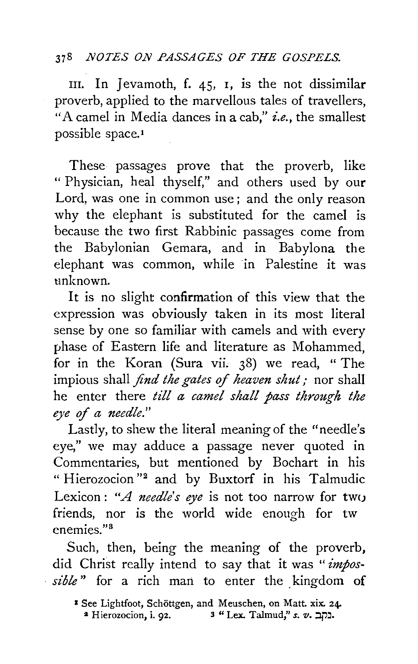## 378 *.NOTES O.N PASSAGES OF THE GOSPELS.*

III. In Jevamoth, f.  $45$ , I, is the not dissimilar proverb, applied to the marvellous tales of travellers, "A camel in Media dances in a cab," *i.e.,* the smallest possible space.<sup>1</sup>

These passages prove that the proverb, like " Physician, heal thyself," and others used by our Lord, was one in common use; and the only reason why the elephant is substituted for the camel is because the two first Rabbinic passages come from the Babylonian Gemara, and in Babylona the elephant was common, while in Palestine it was unknown.

It is no slight confirmation of this view that the expression was obviously taken in its most literal sense by one so familiar with camels and with every phase of Eastern life and literature as Mohammed, for in the Koran (Sura vii. 38) we read, " The impious shall *find the gates of heaven shut;* nor shall he enter there *till a camel shall pass through the eye of a needle."* 

Lastly, to shew the literal meaning of the "needle's eye," we may adduce a passage never quoted in Commentaries, but mentioned by Bochart in his "Hierozocion"<sup>2</sup> and by Buxtorf in his Talmudic Lexicon: *"A needle's eye* is not too narrow for tw() friends, nor is the world wide enough for tw enemies<sup>"3</sup>

Such, then, being the meaning of the proverb, did Christ really intend to say that it was *"impos*sible" for a rich man to enter the kingdom of

<sup>&</sup>lt;sup>3</sup> See Lightfoot, Schöttgen, and Meuschen, on Matt. xix. 24a Hierozocion, i. 92. 3 "Lex. Talmud," *s. v.* בקב.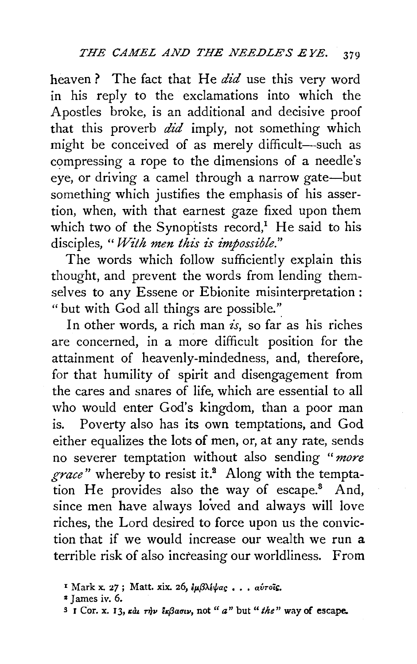heaven? The fact that He *did* use this very word in his reply to the exclamations into which the Apostles broke, is an additional and decisive proof that this proverb  $did$  imply, not something which might be conceived of as merely difficult-such as compressing a rope to the dimensions of a needle's eye, or driving a camel through a narrow gate-but something which justifies the emphasis of his assertion, when, with that earnest gaze fixed upon them which two of the Synoptists record,<sup>1</sup> He said to his disciples, *"With men this is impossible."* 

The words which follow sufficiently explain this thought, and prevent the words from lending themselves to any Essene or Ebionite misinterpretation: "but with God all things are possible.'~

In other words, a rich man *is*, so far as his riches are concerned, in a more difficult position for the attainment of heavenly-mindedness, and, therefore, for that humility of spirit and disengagement from the cares and snares of life, which are essential to all who would enter God's kingdom, than a poor man is. Poverty also has its own temptations, and God either equalizes the lots of men, or, at any rate, sends no severer temptation without also sending *"more grace"* whereby to resist it.9 Along with the temptation He provides also the way of escape. $3$  And, since men have always loved and always will love riches, the Lord desired to force upon us the conviction that if we would increase our wealth we run a terrible risk of also increasing our worldliness. From

<sup>&</sup>lt;sup>1</sup> Mark x. 27; Matt. xix. 26, *lμβλίψας... αύτοΐς.* 

*<sup>&</sup>quot;* J ames iv. 6.

 $\frac{3}{7}$  I Cor. x. 13,  $\kappa \dot{a}$   $\tau \dot{\eta}$ v  $\bar{\epsilon}$   $\kappa \beta a \sigma \iota \nu$ , not "  $a$ " but " the" way of escape.